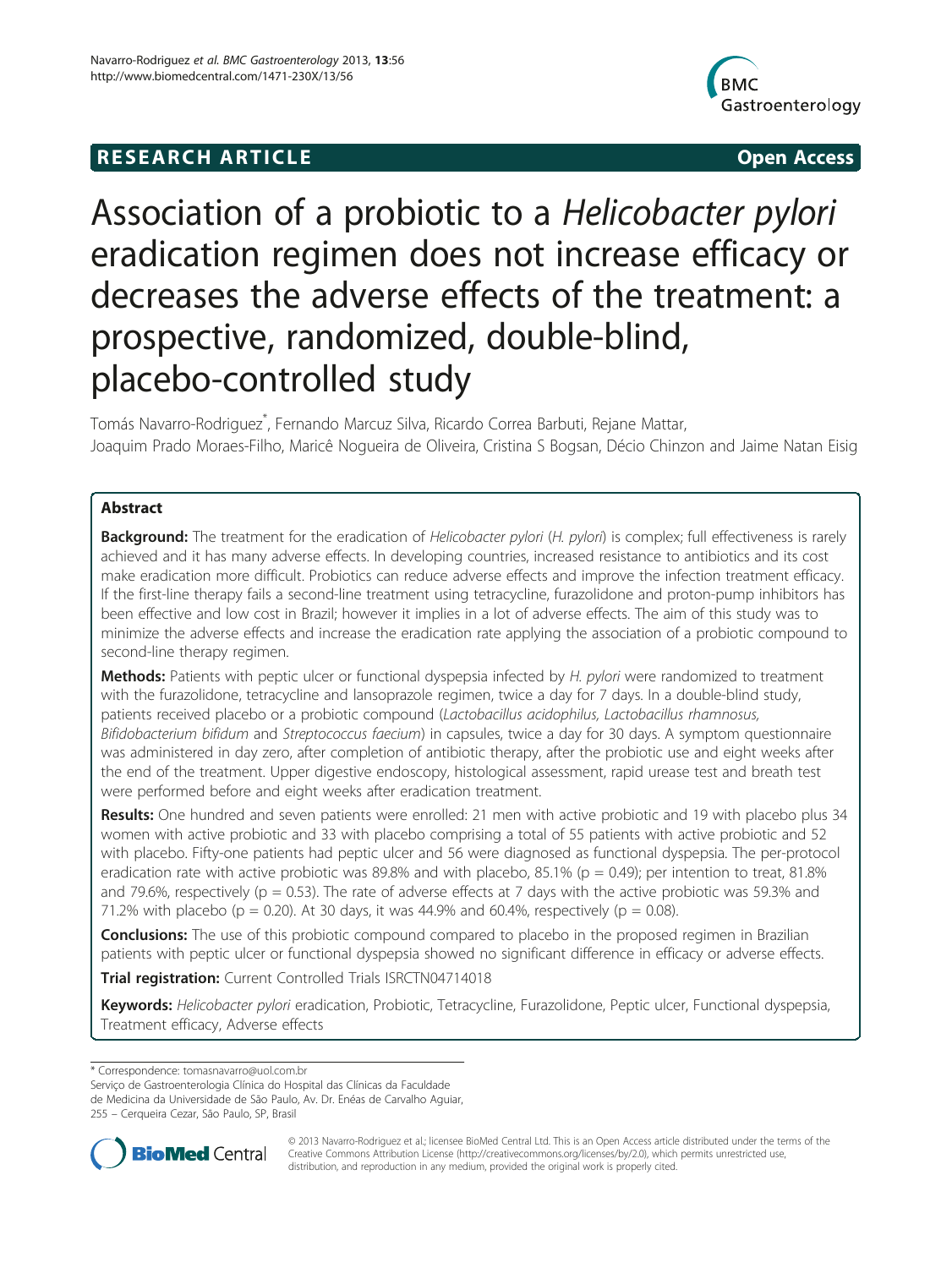# **RESEARCH ARTICLE CONSUMING A RESEARCH ARTICLE**



# Association of a probiotic to a Helicobacter pylori eradication regimen does not increase efficacy or decreases the adverse effects of the treatment: a prospective, randomized, double-blind, placebo-controlled study

Tomás Navarro-Rodriguez\* , Fernando Marcuz Silva, Ricardo Correa Barbuti, Rejane Mattar, Joaquim Prado Moraes-Filho, Maricê Nogueira de Oliveira, Cristina S Bogsan, Décio Chinzon and Jaime Natan Eisig

# Abstract

Background: The treatment for the eradication of Helicobacter pylori (H. pylori) is complex; full effectiveness is rarely achieved and it has many adverse effects. In developing countries, increased resistance to antibiotics and its cost make eradication more difficult. Probiotics can reduce adverse effects and improve the infection treatment efficacy. If the first-line therapy fails a second-line treatment using tetracycline, furazolidone and proton-pump inhibitors has been effective and low cost in Brazil; however it implies in a lot of adverse effects. The aim of this study was to minimize the adverse effects and increase the eradication rate applying the association of a probiotic compound to second-line therapy regimen.

Methods: Patients with peptic ulcer or functional dyspepsia infected by H. pylori were randomized to treatment with the furazolidone, tetracycline and lansoprazole regimen, twice a day for 7 days. In a double-blind study, patients received placebo or a probiotic compound (Lactobacillus acidophilus, Lactobacillus rhamnosus, Bifidobacterium bifidum and Streptococcus faecium) in capsules, twice a day for 30 days. A symptom questionnaire was administered in day zero, after completion of antibiotic therapy, after the probiotic use and eight weeks after the end of the treatment. Upper digestive endoscopy, histological assessment, rapid urease test and breath test were performed before and eight weeks after eradication treatment.

Results: One hundred and seven patients were enrolled: 21 men with active probiotic and 19 with placebo plus 34 women with active probiotic and 33 with placebo comprising a total of 55 patients with active probiotic and 52 with placebo. Fifty-one patients had peptic ulcer and 56 were diagnosed as functional dyspepsia. The per-protocol eradication rate with active probiotic was 89.8% and with placebo, 85.1% ( $p = 0.49$ ); per intention to treat, 81.8% and 79.6%, respectively ( $p = 0.53$ ). The rate of adverse effects at 7 days with the active probiotic was 59.3% and 71.2% with placebo (p = 0.20). At 30 days, it was 44.9% and 60.4%, respectively (p = 0.08).

**Conclusions:** The use of this probiotic compound compared to placebo in the proposed regimen in Brazilian patients with peptic ulcer or functional dyspepsia showed no significant difference in efficacy or adverse effects.

Trial registration: Current Controlled Trials [ISRCTN04714018](http://www.controlled-trials.com/ISRCTN04714018)

Keywords: Helicobacter pylori eradication, Probiotic, Tetracycline, Furazolidone, Peptic ulcer, Functional dyspepsia, Treatment efficacy, Adverse effects

\* Correspondence: [tomasnavarro@uol.com.br](mailto:tomasnavarro@uol.com.br)

Serviço de Gastroenterologia Clínica do Hospital das Clínicas da Faculdade

de Medicina da Universidade de São Paulo, Av. Dr. Enéas de Carvalho Aguiar,

255 – Cerqueira Cezar, São Paulo, SP, Brasil



© 2013 Navarro-Rodriguez et al.; licensee BioMed Central Ltd. This is an Open Access article distributed under the terms of the Creative Commons Attribution License (<http://creativecommons.org/licenses/by/2.0>), which permits unrestricted use, distribution, and reproduction in any medium, provided the original work is properly cited.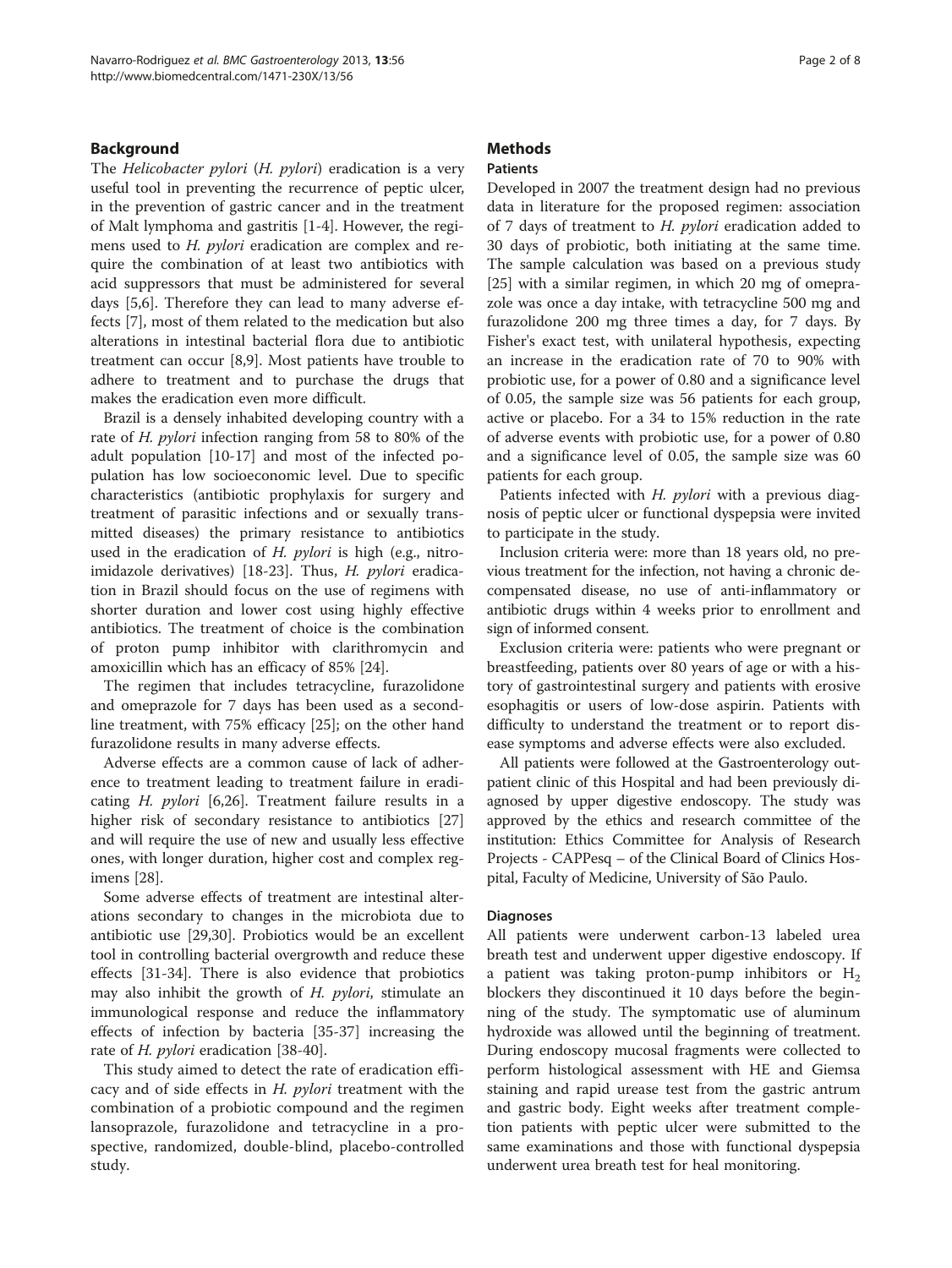# Background

The Helicobacter pylori (H. pylori) eradication is a very useful tool in preventing the recurrence of peptic ulcer, in the prevention of gastric cancer and in the treatment of Malt lymphoma and gastritis [[1-4](#page-6-0)]. However, the regimens used to H. pylori eradication are complex and require the combination of at least two antibiotics with acid suppressors that must be administered for several days [[5,6\]](#page-6-0). Therefore they can lead to many adverse effects [[7](#page-6-0)], most of them related to the medication but also alterations in intestinal bacterial flora due to antibiotic treatment can occur [[8,9\]](#page-6-0). Most patients have trouble to adhere to treatment and to purchase the drugs that makes the eradication even more difficult.

Brazil is a densely inhabited developing country with a rate of H. pylori infection ranging from 58 to 80% of the adult population [[10-17](#page-6-0)] and most of the infected population has low socioeconomic level. Due to specific characteristics (antibiotic prophylaxis for surgery and treatment of parasitic infections and or sexually transmitted diseases) the primary resistance to antibiotics used in the eradication of  $H$ . *pylori* is high (e.g., nitroimidazole derivatives) [[18-23](#page-6-0)]. Thus, H. pylori eradication in Brazil should focus on the use of regimens with shorter duration and lower cost using highly effective antibiotics. The treatment of choice is the combination of proton pump inhibitor with clarithromycin and amoxicillin which has an efficacy of 85% [\[24](#page-6-0)].

The regimen that includes tetracycline, furazolidone and omeprazole for 7 days has been used as a secondline treatment, with 75% efficacy [\[25](#page-6-0)]; on the other hand furazolidone results in many adverse effects.

Adverse effects are a common cause of lack of adherence to treatment leading to treatment failure in eradicating H. pylori [\[6,26](#page-6-0)]. Treatment failure results in a higher risk of secondary resistance to antibiotics [[27](#page-6-0)] and will require the use of new and usually less effective ones, with longer duration, higher cost and complex regimens [\[28\]](#page-6-0).

Some adverse effects of treatment are intestinal alterations secondary to changes in the microbiota due to antibiotic use [\[29,30](#page-6-0)]. Probiotics would be an excellent tool in controlling bacterial overgrowth and reduce these effects [\[31](#page-6-0)-[34\]](#page-6-0). There is also evidence that probiotics may also inhibit the growth of H. pylori, stimulate an immunological response and reduce the inflammatory effects of infection by bacteria [[35-37](#page-6-0)] increasing the rate of *H. pylori* eradication [\[38](#page-6-0)-[40](#page-6-0)].

This study aimed to detect the rate of eradication efficacy and of side effects in H. pylori treatment with the combination of a probiotic compound and the regimen lansoprazole, furazolidone and tetracycline in a prospective, randomized, double-blind, placebo-controlled study.

# **Methods**

# Patients

Developed in 2007 the treatment design had no previous data in literature for the proposed regimen: association of 7 days of treatment to  $H$ . *pylori* eradication added to 30 days of probiotic, both initiating at the same time. The sample calculation was based on a previous study [[25\]](#page-6-0) with a similar regimen, in which 20 mg of omeprazole was once a day intake, with tetracycline 500 mg and furazolidone 200 mg three times a day, for 7 days. By Fisher's exact test, with unilateral hypothesis, expecting an increase in the eradication rate of 70 to 90% with probiotic use, for a power of 0.80 and a significance level of 0.05, the sample size was 56 patients for each group, active or placebo. For a 34 to 15% reduction in the rate of adverse events with probiotic use, for a power of 0.80 and a significance level of 0.05, the sample size was 60 patients for each group.

Patients infected with H. pylori with a previous diagnosis of peptic ulcer or functional dyspepsia were invited to participate in the study.

Inclusion criteria were: more than 18 years old, no previous treatment for the infection, not having a chronic decompensated disease, no use of anti-inflammatory or antibiotic drugs within 4 weeks prior to enrollment and sign of informed consent.

Exclusion criteria were: patients who were pregnant or breastfeeding, patients over 80 years of age or with a history of gastrointestinal surgery and patients with erosive esophagitis or users of low-dose aspirin. Patients with difficulty to understand the treatment or to report disease symptoms and adverse effects were also excluded.

All patients were followed at the Gastroenterology outpatient clinic of this Hospital and had been previously diagnosed by upper digestive endoscopy. The study was approved by the ethics and research committee of the institution: Ethics Committee for Analysis of Research Projects - CAPPesq – of the Clinical Board of Clinics Hospital, Faculty of Medicine, University of São Paulo.

#### Diagnoses

All patients were underwent carbon-13 labeled urea breath test and underwent upper digestive endoscopy. If a patient was taking proton-pump inhibitors or  $H_2$ blockers they discontinued it 10 days before the beginning of the study. The symptomatic use of aluminum hydroxide was allowed until the beginning of treatment. During endoscopy mucosal fragments were collected to perform histological assessment with HE and Giemsa staining and rapid urease test from the gastric antrum and gastric body. Eight weeks after treatment completion patients with peptic ulcer were submitted to the same examinations and those with functional dyspepsia underwent urea breath test for heal monitoring.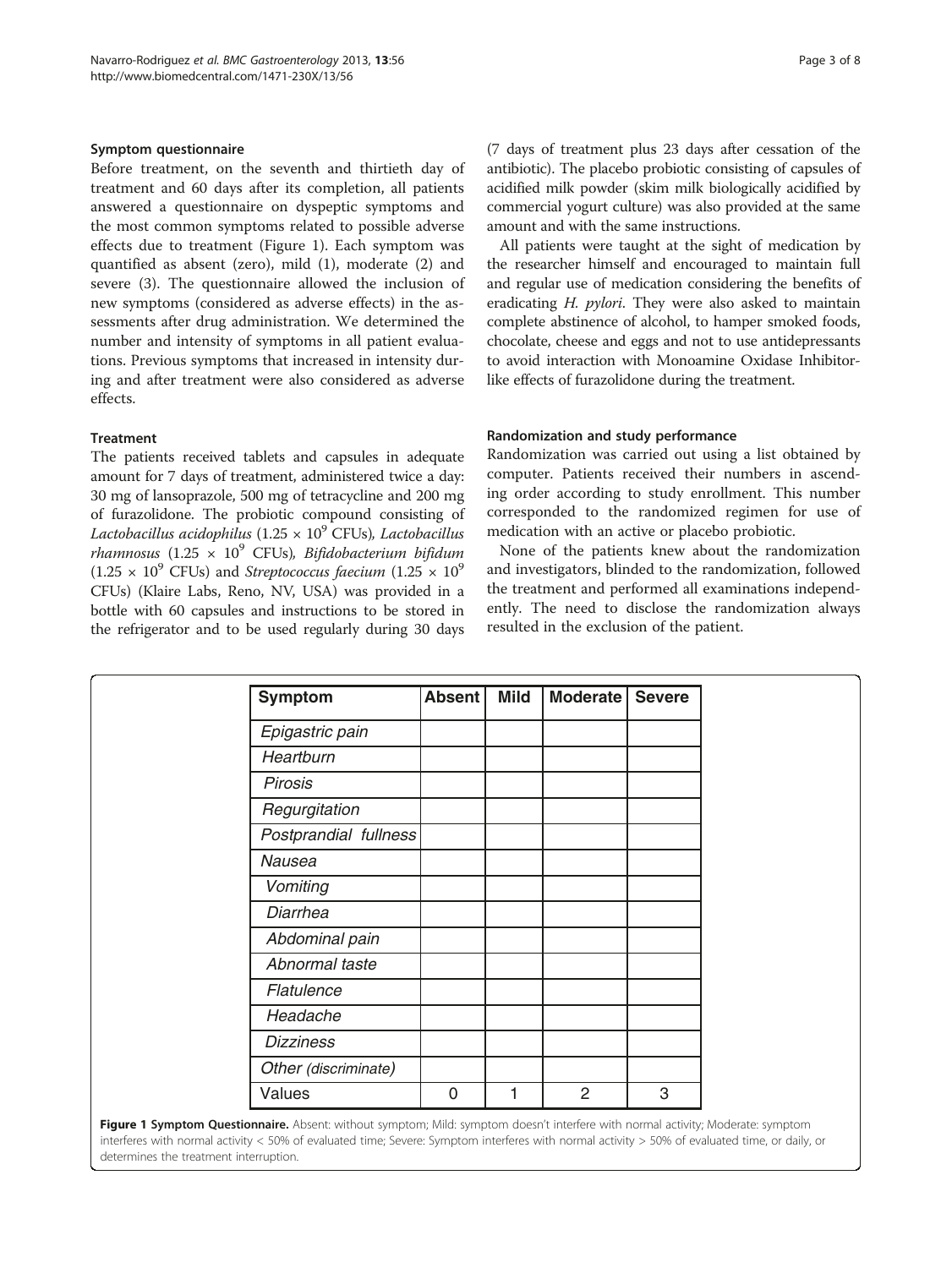#### Symptom questionnaire

Before treatment, on the seventh and thirtieth day of treatment and 60 days after its completion, all patients answered a questionnaire on dyspeptic symptoms and the most common symptoms related to possible adverse effects due to treatment (Figure 1). Each symptom was quantified as absent (zero), mild (1), moderate (2) and severe (3). The questionnaire allowed the inclusion of new symptoms (considered as adverse effects) in the assessments after drug administration. We determined the number and intensity of symptoms in all patient evaluations. Previous symptoms that increased in intensity during and after treatment were also considered as adverse effects.

# Treatment

The patients received tablets and capsules in adequate amount for 7 days of treatment, administered twice a day: 30 mg of lansoprazole, 500 mg of tetracycline and 200 mg of furazolidone. The probiotic compound consisting of Lactobacillus acidophilus (1.25  $\times$  10<sup>9</sup> CFUs), Lactobacillus rhamnosus (1.25  $\times$  10<sup>9</sup> CFUs), Bifidobacterium bifidum  $(1.25 \times 10^9 \text{ CFUs})$  and *Streptococcus faecium*  $(1.25 \times 10^9 \text{ CFUs})$ CFUs) (Klaire Labs, Reno, NV, USA) was provided in a bottle with 60 capsules and instructions to be stored in the refrigerator and to be used regularly during 30 days (7 days of treatment plus 23 days after cessation of the antibiotic). The placebo probiotic consisting of capsules of acidified milk powder (skim milk biologically acidified by commercial yogurt culture) was also provided at the same amount and with the same instructions.

All patients were taught at the sight of medication by the researcher himself and encouraged to maintain full and regular use of medication considering the benefits of eradicating H. pylori. They were also asked to maintain complete abstinence of alcohol, to hamper smoked foods, chocolate, cheese and eggs and not to use antidepressants to avoid interaction with Monoamine Oxidase Inhibitorlike effects of furazolidone during the treatment.

#### Randomization and study performance

Randomization was carried out using a list obtained by computer. Patients received their numbers in ascending order according to study enrollment. This number corresponded to the randomized regimen for use of medication with an active or placebo probiotic.

None of the patients knew about the randomization and investigators, blinded to the randomization, followed the treatment and performed all examinations independently. The need to disclose the randomization always resulted in the exclusion of the patient.

| Symptom                                                                                                                                | <b>Absent</b> | <b>Mild</b> | <b>Moderate</b> | <b>Severe</b> |
|----------------------------------------------------------------------------------------------------------------------------------------|---------------|-------------|-----------------|---------------|
| Epigastric pain                                                                                                                        |               |             |                 |               |
| Heartburn                                                                                                                              |               |             |                 |               |
| <b>Pirosis</b>                                                                                                                         |               |             |                 |               |
| Regurgitation                                                                                                                          |               |             |                 |               |
| Postprandial fullness                                                                                                                  |               |             |                 |               |
| Nausea                                                                                                                                 |               |             |                 |               |
| Vomiting                                                                                                                               |               |             |                 |               |
| Diarrhea                                                                                                                               |               |             |                 |               |
| Abdominal pain                                                                                                                         |               |             |                 |               |
| Abnormal taste                                                                                                                         |               |             |                 |               |
| Flatulence                                                                                                                             |               |             |                 |               |
| Headache                                                                                                                               |               |             |                 |               |
| <b>Dizziness</b>                                                                                                                       |               |             |                 |               |
| Other (discriminate)                                                                                                                   |               |             |                 |               |
| Values                                                                                                                                 | $\mathbf 0$   | 1           | $\overline{2}$  | 3             |
| <b>Figure 1 Symptom Questionnaire</b> Absent: without symptom: Mild: symptom doesn't interfere with normal activity: Moderate: symptom |               |             |                 |               |

Figure 1 Symptom Questionnaire. Absent: without symptom; Mild: symptom doesn't interfere with normal activity; Moderate: symptom interferes with normal activity < 50% of evaluated time; Severe: Symptom interferes with normal activity > 50% of evaluated time, or daily, or determines the treatment interruption.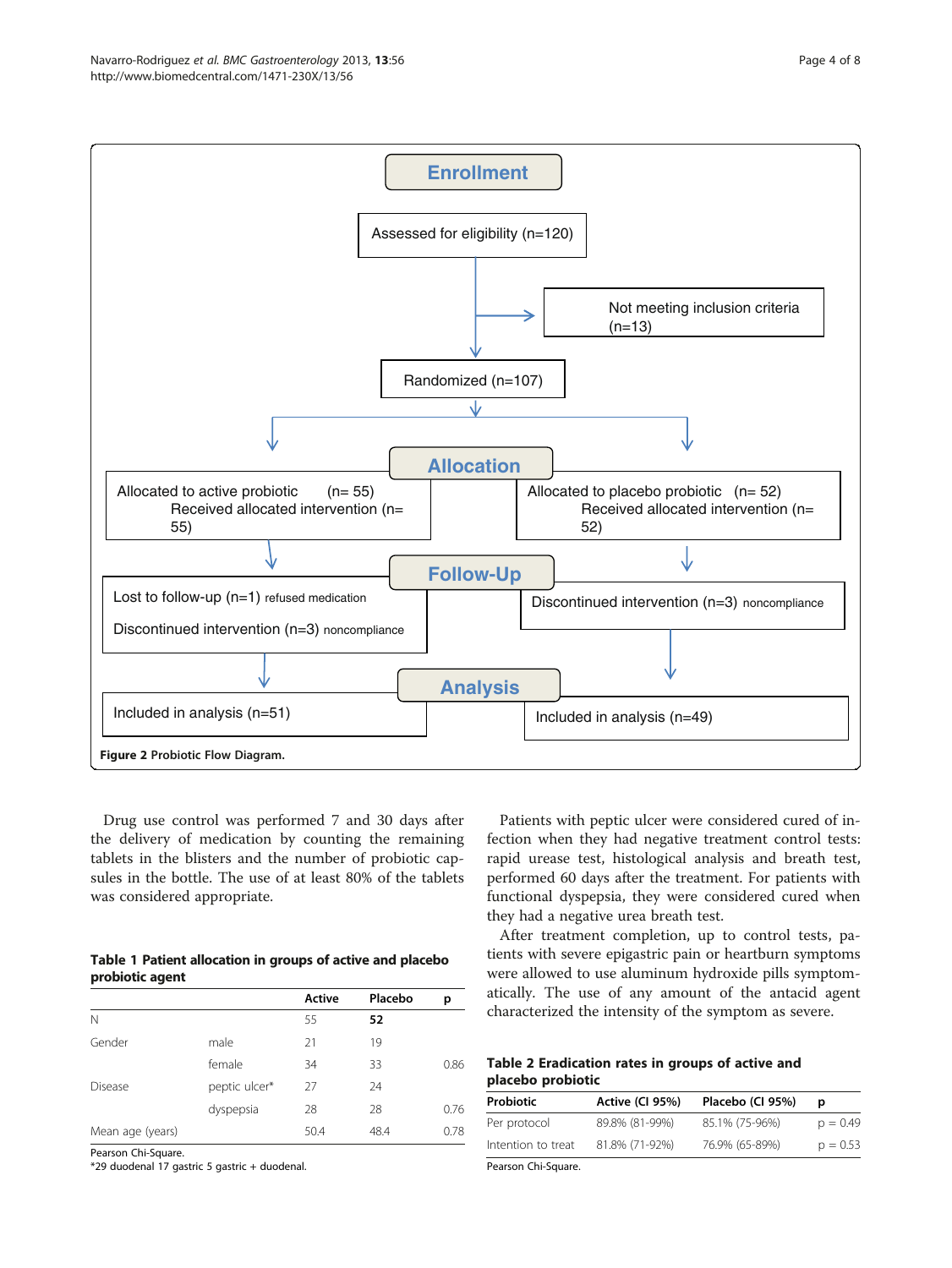<span id="page-3-0"></span>

Drug use control was performed 7 and 30 days after the delivery of medication by counting the remaining tablets in the blisters and the number of probiotic capsules in the bottle. The use of at least 80% of the tablets was considered appropriate.

|                 |  | Table 1 Patient allocation in groups of active and placebo |
|-----------------|--|------------------------------------------------------------|
| probiotic agent |  |                                                            |

|                  |               | Active | Placebo | р    |
|------------------|---------------|--------|---------|------|
| N                |               | 55     | 52      |      |
| Gender           | male          | 21     | 19      |      |
|                  | female        | 34     | 33      | 0.86 |
| <b>Disease</b>   | peptic ulcer* | 27     | 24      |      |
|                  | dyspepsia     | 28     | 28      | 0.76 |
| Mean age (years) |               | 50.4   | 48.4    | 0.78 |

Pearson Chi-Square.

\*29 duodenal 17 gastric 5 gastric + duodenal.

Patients with peptic ulcer were considered cured of infection when they had negative treatment control tests: rapid urease test, histological analysis and breath test, performed 60 days after the treatment. For patients with functional dyspepsia, they were considered cured when they had a negative urea breath test.

After treatment completion, up to control tests, patients with severe epigastric pain or heartburn symptoms were allowed to use aluminum hydroxide pills symptomatically. The use of any amount of the antacid agent characterized the intensity of the symptom as severe.

# Table 2 Eradication rates in groups of active and placebo probiotic

| <b>Probiotic</b>   | Active (CI 95%) | Placebo (CI 95%) |            |
|--------------------|-----------------|------------------|------------|
| Per protocol       | 89.8% (81-99%)  | 85.1% (75-96%)   | $p = 0.49$ |
| Intention to treat | 81.8% (71-92%)  | 76.9% (65-89%)   | $p = 0.53$ |

Pearson Chi-Square.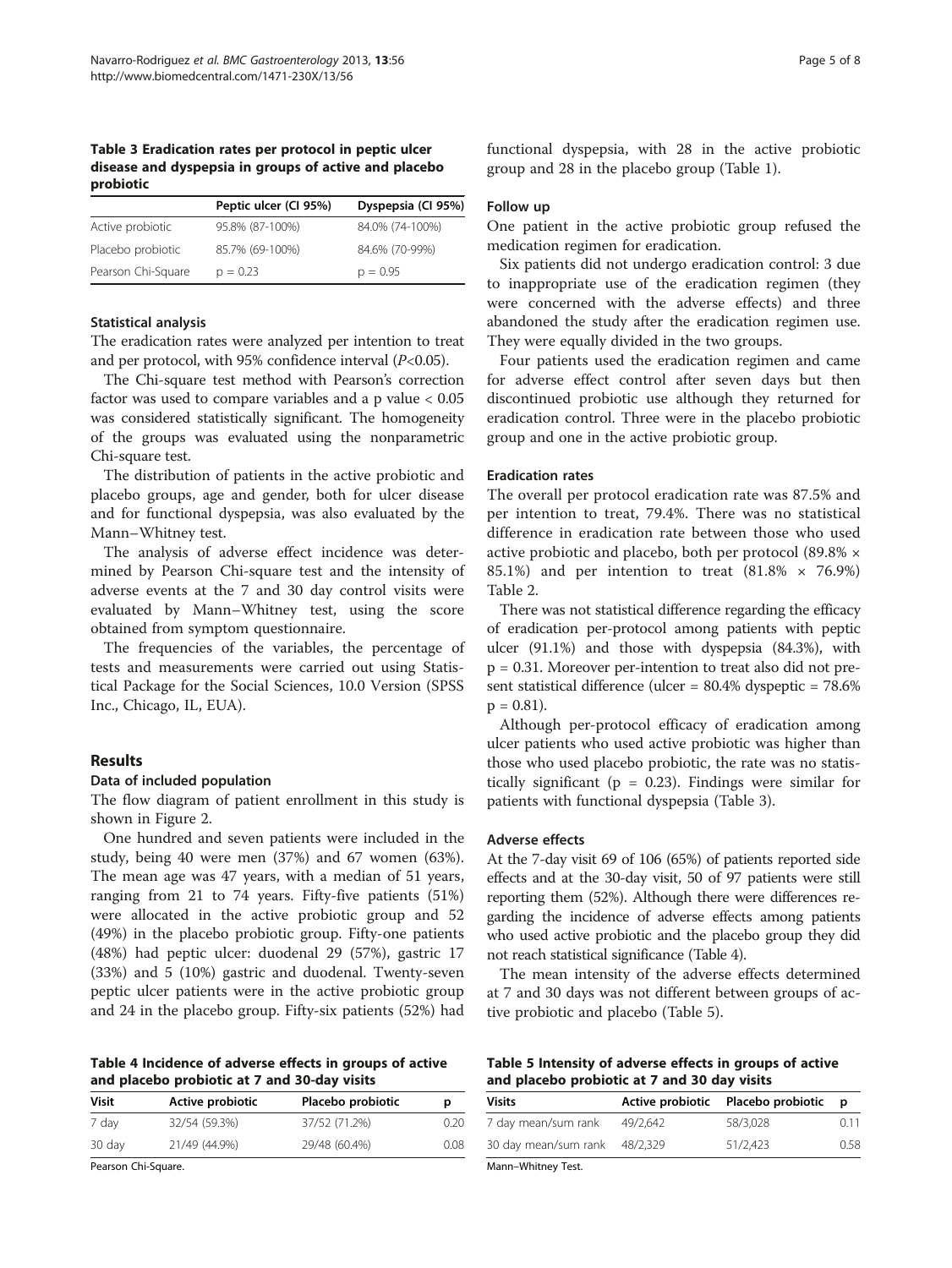Table 3 Eradication rates per protocol in peptic ulcer disease and dyspepsia in groups of active and placebo probiotic

|                    | Peptic ulcer (CI 95%) | Dyspepsia (CI 95%) |
|--------------------|-----------------------|--------------------|
| Active probiotic   | 95.8% (87-100%)       | 84.0% (74-100%)    |
| Placebo probiotic  | 85.7% (69-100%)       | 84.6% (70-99%)     |
| Pearson Chi-Square | $p = 0.23$            | $p = 0.95$         |

# Statistical analysis

The eradication rates were analyzed per intention to treat and per protocol, with 95% confidence interval  $(P<0.05)$ .

The Chi-square test method with Pearson's correction factor was used to compare variables and a p value < 0.05 was considered statistically significant. The homogeneity of the groups was evaluated using the nonparametric Chi-square test.

The distribution of patients in the active probiotic and placebo groups, age and gender, both for ulcer disease and for functional dyspepsia, was also evaluated by the Mann–Whitney test.

The analysis of adverse effect incidence was determined by Pearson Chi-square test and the intensity of adverse events at the 7 and 30 day control visits were evaluated by Mann–Whitney test, using the score obtained from symptom questionnaire.

The frequencies of the variables, the percentage of tests and measurements were carried out using Statistical Package for the Social Sciences, 10.0 Version (SPSS Inc., Chicago, IL, EUA).

#### Results

#### Data of included population

The flow diagram of patient enrollment in this study is shown in Figure [2.](#page-3-0)

One hundred and seven patients were included in the study, being 40 were men (37%) and 67 women (63%). The mean age was 47 years, with a median of 51 years, ranging from 21 to 74 years. Fifty-five patients (51%) were allocated in the active probiotic group and 52 (49%) in the placebo probiotic group. Fifty-one patients (48%) had peptic ulcer: duodenal 29 (57%), gastric 17 (33%) and 5 (10%) gastric and duodenal. Twenty-seven peptic ulcer patients were in the active probiotic group and 24 in the placebo group. Fifty-six patients (52%) had

Table 4 Incidence of adverse effects in groups of active and placebo probiotic at 7 and 30-day visits

| <b>Visit</b> | Active probiotic | Placebo probiotic | р    |
|--------------|------------------|-------------------|------|
| 7 day        | 32/54 (59.3%)    | 37/52 (71.2%)     | 0.20 |
| 30 day       | 21/49 (44.9%)    | 29/48 (60.4%)     | 0.08 |
|              |                  |                   |      |

Pearson Chi-Square.

functional dyspepsia, with 28 in the active probiotic group and 28 in the placebo group (Table [1](#page-3-0)).

#### Follow up

One patient in the active probiotic group refused the medication regimen for eradication.

Six patients did not undergo eradication control: 3 due to inappropriate use of the eradication regimen (they were concerned with the adverse effects) and three abandoned the study after the eradication regimen use. They were equally divided in the two groups.

Four patients used the eradication regimen and came for adverse effect control after seven days but then discontinued probiotic use although they returned for eradication control. Three were in the placebo probiotic group and one in the active probiotic group.

# Eradication rates

The overall per protocol eradication rate was 87.5% and per intention to treat, 79.4%. There was no statistical difference in eradication rate between those who used active probiotic and placebo, both per protocol (89.8% × 85.1%) and per intention to treat  $(81.8\% \times 76.9\%)$ Table [2.](#page-3-0)

There was not statistical difference regarding the efficacy of eradication per-protocol among patients with peptic ulcer (91.1%) and those with dyspepsia (84.3%), with p = 0.31. Moreover per-intention to treat also did not present statistical difference (ulcer = 80.4% dyspeptic = 78.6%  $p = 0.81$ ).

Although per-protocol efficacy of eradication among ulcer patients who used active probiotic was higher than those who used placebo probiotic, the rate was no statistically significant ( $p = 0.23$ ). Findings were similar for patients with functional dyspepsia (Table 3).

#### Adverse effects

At the 7-day visit 69 of 106 (65%) of patients reported side effects and at the 30-day visit, 50 of 97 patients were still reporting them (52%). Although there were differences regarding the incidence of adverse effects among patients who used active probiotic and the placebo group they did not reach statistical significance (Table 4).

The mean intensity of the adverse effects determined at 7 and 30 days was not different between groups of active probiotic and placebo (Table 5).

Table 5 Intensity of adverse effects in groups of active and placebo probiotic at 7 and 30 day visits

| Visits               |          | Active probiotic  Placebo probiotic |      |
|----------------------|----------|-------------------------------------|------|
| 7 day mean/sum rank  | 49/2.642 | 58/3.028                            | 0.11 |
| 30 day mean/sum rank | 48/2.329 | 51/2.423                            | 0.58 |

Mann–Whitney Test.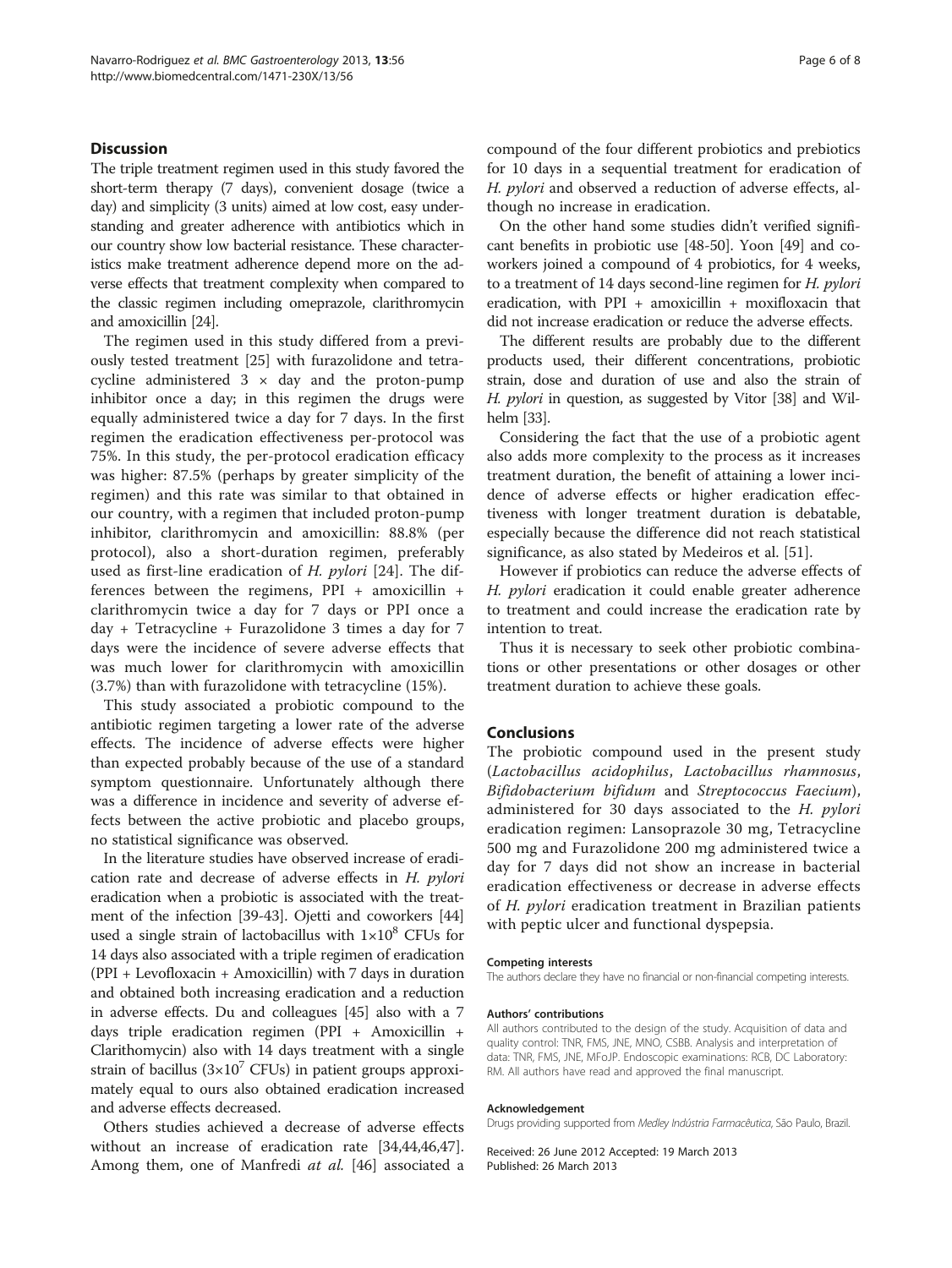# Discussion

The triple treatment regimen used in this study favored the short-term therapy (7 days), convenient dosage (twice a day) and simplicity (3 units) aimed at low cost, easy understanding and greater adherence with antibiotics which in our country show low bacterial resistance. These characteristics make treatment adherence depend more on the adverse effects that treatment complexity when compared to the classic regimen including omeprazole, clarithromycin and amoxicillin [\[24\]](#page-6-0).

The regimen used in this study differed from a previously tested treatment [\[25](#page-6-0)] with furazolidone and tetracycline administered  $3 \times$  day and the proton-pump inhibitor once a day; in this regimen the drugs were equally administered twice a day for 7 days. In the first regimen the eradication effectiveness per-protocol was 75%. In this study, the per-protocol eradication efficacy was higher: 87.5% (perhaps by greater simplicity of the regimen) and this rate was similar to that obtained in our country, with a regimen that included proton-pump inhibitor, clarithromycin and amoxicillin: 88.8% (per protocol), also a short-duration regimen, preferably used as first-line eradication of H. pylori [[24\]](#page-6-0). The differences between the regimens, PPI + amoxicillin + clarithromycin twice a day for 7 days or PPI once a day + Tetracycline + Furazolidone 3 times a day for 7 days were the incidence of severe adverse effects that was much lower for clarithromycin with amoxicillin (3.7%) than with furazolidone with tetracycline (15%).

This study associated a probiotic compound to the antibiotic regimen targeting a lower rate of the adverse effects. The incidence of adverse effects were higher than expected probably because of the use of a standard symptom questionnaire. Unfortunately although there was a difference in incidence and severity of adverse effects between the active probiotic and placebo groups, no statistical significance was observed.

In the literature studies have observed increase of eradication rate and decrease of adverse effects in H. pylori eradication when a probiotic is associated with the treatment of the infection [\[39](#page-6-0)[-43\]](#page-7-0). Ojetti and coworkers [[44](#page-7-0)] used a single strain of lactobacillus with  $1\times10^8$  CFUs for 14 days also associated with a triple regimen of eradication (PPI + Levofloxacin + Amoxicillin) with 7 days in duration and obtained both increasing eradication and a reduction in adverse effects. Du and colleagues [\[45\]](#page-7-0) also with a 7 days triple eradication regimen (PPI + Amoxicillin + Clarithomycin) also with 14 days treatment with a single strain of bacillus  $(3\times10^7 \text{ CFUs})$  in patient groups approximately equal to ours also obtained eradication increased and adverse effects decreased.

Others studies achieved a decrease of adverse effects without an increase of eradication rate [[34](#page-6-0)[,44,46,47](#page-7-0)]. Among them, one of Manfredi at al. [\[46\]](#page-7-0) associated a compound of the four different probiotics and prebiotics for 10 days in a sequential treatment for eradication of H. pylori and observed a reduction of adverse effects, although no increase in eradication.

On the other hand some studies didn't verified significant benefits in probiotic use [\[48-50\]](#page-7-0). Yoon [[49](#page-7-0)] and coworkers joined a compound of 4 probiotics, for 4 weeks, to a treatment of 14 days second-line regimen for H. pylori eradication, with PPI + amoxicillin + moxifloxacin that did not increase eradication or reduce the adverse effects.

The different results are probably due to the different products used, their different concentrations, probiotic strain, dose and duration of use and also the strain of H. *pylori* in question, as suggested by Vitor [\[38\]](#page-6-0) and Wilhelm [\[33](#page-6-0)].

Considering the fact that the use of a probiotic agent also adds more complexity to the process as it increases treatment duration, the benefit of attaining a lower incidence of adverse effects or higher eradication effectiveness with longer treatment duration is debatable, especially because the difference did not reach statistical significance, as also stated by Medeiros et al. [[51](#page-7-0)].

However if probiotics can reduce the adverse effects of H. pylori eradication it could enable greater adherence to treatment and could increase the eradication rate by intention to treat.

Thus it is necessary to seek other probiotic combinations or other presentations or other dosages or other treatment duration to achieve these goals.

#### Conclusions

The probiotic compound used in the present study (Lactobacillus acidophilus, Lactobacillus rhamnosus, Bifidobacterium bifidum and Streptococcus Faecium), administered for 30 days associated to the H. pylori eradication regimen: Lansoprazole 30 mg, Tetracycline 500 mg and Furazolidone 200 mg administered twice a day for 7 days did not show an increase in bacterial eradication effectiveness or decrease in adverse effects of H. pylori eradication treatment in Brazilian patients with peptic ulcer and functional dyspepsia.

#### Competing interests

The authors declare they have no financial or non-financial competing interests.

#### Authors' contributions

All authors contributed to the design of the study. Acquisition of data and quality control: TNR, FMS, JNE, MNO, CSBB. Analysis and interpretation of data: TNR, FMS, JNE, MFoJP. Endoscopic examinations: RCB, DC Laboratory: RM. All authors have read and approved the final manuscript.

#### Acknowledgement

Drugs providing supported from Medley Indústria Farmacêutica, São Paulo, Brazil.

Received: 26 June 2012 Accepted: 19 March 2013 Published: 26 March 2013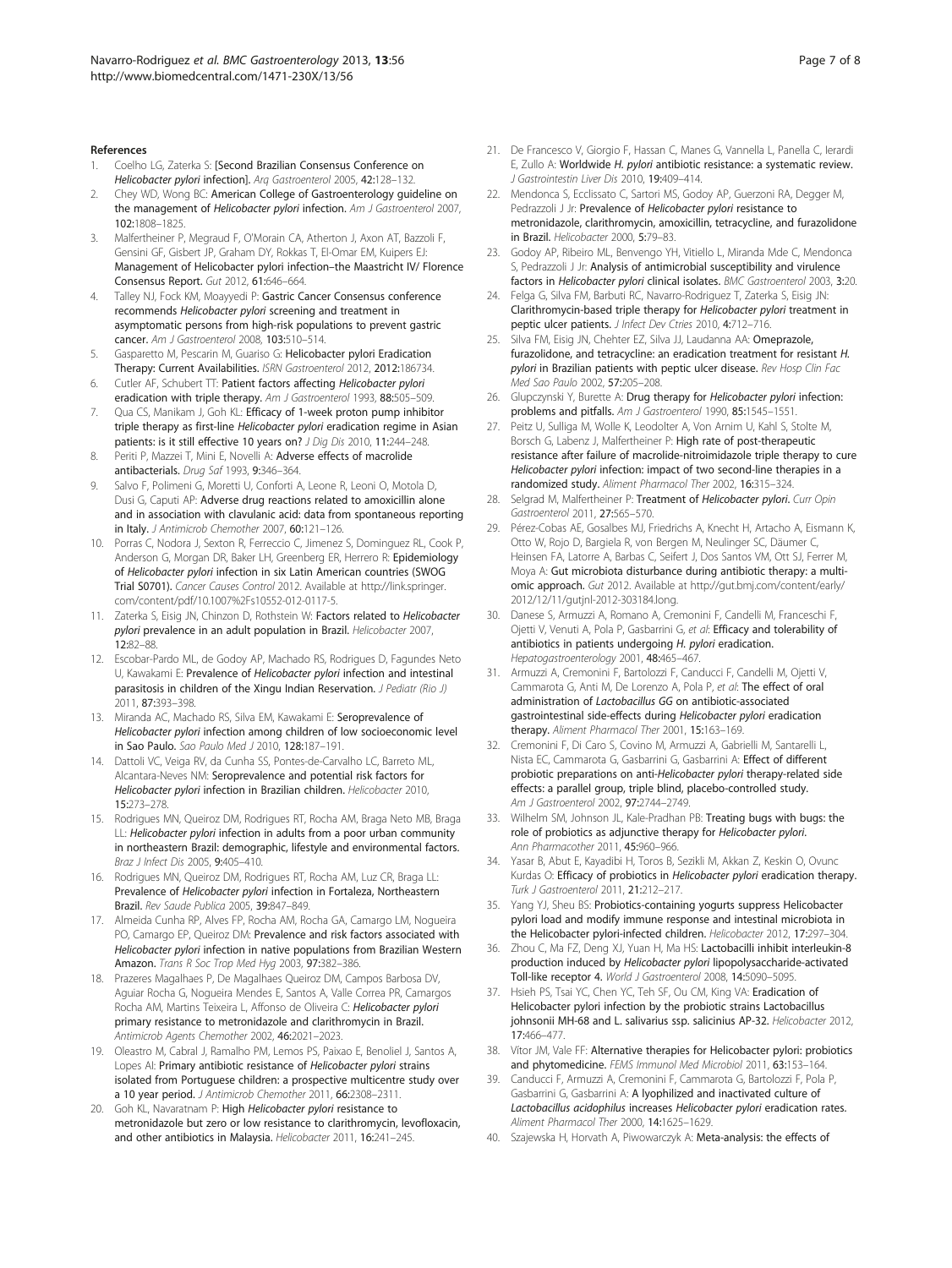#### <span id="page-6-0"></span>References

- 1. Coelho LG, Zaterka S: [Second Brazilian Consensus Conference on Helicobacter pylori infection]. Arq Gastroenterol 2005, 42:128–132.
- 2. Chey WD, Wong BC: American College of Gastroenterology guideline on the management of Helicobacter pylori infection. Am J Gastroenterol 2007, 102:1808–1825.
- 3. Malfertheiner P, Megraud F, O'Morain CA, Atherton J, Axon AT, Bazzoli F, Gensini GF, Gisbert JP, Graham DY, Rokkas T, El-Omar EM, Kuipers EJ: Management of Helicobacter pylori infection–the Maastricht IV/ Florence Consensus Report. Gut 2012, 61:646–664.
- 4. Talley NJ, Fock KM, Moayyedi P: Gastric Cancer Consensus conference recommends Helicobacter pylori screening and treatment in asymptomatic persons from high-risk populations to prevent gastric cancer. Am J Gastroenterol 2008, 103:510–514.
- 5. Gasparetto M, Pescarin M, Guariso G: Helicobacter pylori Eradication Therapy: Current Availabilities. ISRN Gastroenterol 2012, 2012:186734.
- 6. Cutler AF, Schubert TT: Patient factors affecting Helicobacter pylori eradication with triple therapy. Am J Gastroenterol 1993, 88:505-509.
- 7. Qua CS, Manikam J, Goh KL: Efficacy of 1-week proton pump inhibitor triple therapy as first-line Helicobacter pylori eradication regime in Asian patients: is it still effective 10 years on? J Dig Dis 2010, 11:244-248.
- 8. Periti P, Mazzei T, Mini E, Novelli A: Adverse effects of macrolide antibacterials. Drug Saf 1993, 9:346–364.
- 9. Salvo F, Polimeni G, Moretti U, Conforti A, Leone R, Leoni O, Motola D, Dusi G, Caputi AP: Adverse drug reactions related to amoxicillin alone and in association with clavulanic acid: data from spontaneous reporting in Italy. J Antimicrob Chemother 2007, 60:121-126.
- 10. Porras C, Nodora J, Sexton R, Ferreccio C, Jimenez S, Dominguez RL, Cook P, Anderson G, Morgan DR, Baker LH, Greenberg ER, Herrero R: Epidemiology of Helicobacter pylori infection in six Latin American countries (SWOG Trial S0701). Cancer Causes Control 2012. Available at [http://link.springer.](http://link.springer.com/content/pdf/10.1007/s10552-012-0117-5) [com/content/pdf/10.1007%2Fs10552-012-0117-5](http://link.springer.com/content/pdf/10.1007/s10552-012-0117-5).
- 11. Zaterka S, Eisig JN, Chinzon D, Rothstein W: Factors related to Helicobacter pylori prevalence in an adult population in Brazil. Helicobacter 2007, 12:82–88.
- 12. Escobar-Pardo ML, de Godoy AP, Machado RS, Rodrigues D, Fagundes Neto U, Kawakami E: Prevalence of Helicobacter pylori infection and intestinal parasitosis in children of the Xingu Indian Reservation. J Pediatr (Rio J) 2011, 87:393–398.
- 13. Miranda AC, Machado RS, Silva EM, Kawakami E: Seroprevalence of Helicobacter pylori infection among children of low socioeconomic level in Sao Paulo. Sao Paulo Med J 2010, 128:187–191.
- 14. Dattoli VC, Veiga RV, da Cunha SS, Pontes-de-Carvalho LC, Barreto ML, Alcantara-Neves NM: Seroprevalence and potential risk factors for Helicobacter pylori infection in Brazilian children. Helicobacter 2010, 15:273–278.
- 15. Rodrigues MN, Queiroz DM, Rodrigues RT, Rocha AM, Braga Neto MB, Braga LL: Helicobacter pylori infection in adults from a poor urban community in northeastern Brazil: demographic, lifestyle and environmental factors. Braz J Infect Dis 2005, 9:405–410.
- 16. Rodrigues MN, Queiroz DM, Rodrigues RT, Rocha AM, Luz CR, Braga LL: Prevalence of Helicobacter pylori infection in Fortaleza, Northeastern Brazil. Rev Saude Publica 2005, 39:847–849.
- 17. Almeida Cunha RP, Alves FP, Rocha AM, Rocha GA, Camargo LM, Nogueira PO, Camargo EP, Queiroz DM: Prevalence and risk factors associated with Helicobacter pylori infection in native populations from Brazilian Western Amazon. Trans R Soc Trop Med Hyg 2003, 97:382–386.
- 18. Prazeres Magalhaes P, De Magalhaes Queiroz DM, Campos Barbosa DV, Aguiar Rocha G, Nogueira Mendes E, Santos A, Valle Correa PR, Camargos Rocha AM, Martins Teixeira L, Affonso de Oliveira C: Helicobacter pylori primary resistance to metronidazole and clarithromycin in Brazil. Antimicrob Agents Chemother 2002, 46:2021–2023.
- 19. Oleastro M, Cabral J, Ramalho PM, Lemos PS, Paixao E, Benoliel J, Santos A, Lopes AI: Primary antibiotic resistance of Helicobacter pylori strains isolated from Portuguese children: a prospective multicentre study over a 10 year period. J Antimicrob Chemother 2011, 66:2308–2311.
- 20. Goh KL, Navaratnam P: High Helicobacter pylori resistance to metronidazole but zero or low resistance to clarithromycin, levofloxacin, and other antibiotics in Malaysia. Helicobacter 2011, 16:241–245.
- 21. De Francesco V, Giorgio F, Hassan C, Manes G, Vannella L, Panella C, Ierardi E, Zullo A: Worldwide H. pylori antibiotic resistance: a systematic review. J Gastrointestin Liver Dis 2010, 19:409–414.
- 22. Mendonca S, Ecclissato C, Sartori MS, Godoy AP, Guerzoni RA, Degger M, Pedrazzoli J Jr: Prevalence of Helicobacter pylori resistance to metronidazole, clarithromycin, amoxicillin, tetracycline, and furazolidone in Brazil. Helicobacter 2000, 5:79–83.
- 23. Godoy AP, Ribeiro ML, Benvengo YH, Vitiello L, Miranda Mde C, Mendonca S, Pedrazzoli J Jr: Analysis of antimicrobial susceptibility and virulence factors in Helicobacter pylori clinical isolates. BMC Gastroenterol 2003, 3:20.
- 24. Felga G, Silva FM, Barbuti RC, Navarro-Rodriguez T, Zaterka S, Eisig JN: Clarithromycin-based triple therapy for Helicobacter pylori treatment in peptic ulcer patients. J Infect Dev Ctries 2010, 4:712-716.
- 25. Silva FM, Eisig JN, Chehter EZ, Silva JJ, Laudanna AA: Omeprazole, furazolidone, and tetracycline: an eradication treatment for resistant H. pylori in Brazilian patients with peptic ulcer disease. Rev Hosp Clin Fact Med Sao Paulo 2002, 57:205–208.
- 26. Glupczynski Y, Burette A: Drug therapy for Helicobacter pylori infection: problems and pitfalls. Am J Gastroenterol 1990, 85:1545-1551.
- 27. Peitz U, Sulliga M, Wolle K, Leodolter A, Von Arnim U, Kahl S, Stolte M, Borsch G, Labenz J, Malfertheiner P: High rate of post-therapeutic resistance after failure of macrolide-nitroimidazole triple therapy to cure Helicobacter pylori infection: impact of two second-line therapies in a randomized study. Aliment Pharmacol Ther 2002, 16:315–324.
- 28. Selgrad M, Malfertheiner P: Treatment of Helicobacter pylori. Curr Opin Gastroenterol 2011, 27:565–570.
- 29. Pérez-Cobas AE, Gosalbes MJ, Friedrichs A, Knecht H, Artacho A, Eismann K, Otto W, Rojo D, Bargiela R, von Bergen M, Neulinger SC, Däumer C, Heinsen FA, Latorre A, Barbas C, Seifert J, Dos Santos VM, Ott SJ, Ferrer M, Moya A: Gut microbiota disturbance during antibiotic therapy: a multiomic approach. Gut 2012. Available at [http://gut.bmj.com/content/early/](http://gut.bmj.com/content/early/2012/12/11/gutjnl-2012-303184.long) [2012/12/11/gutjnl-2012-303184.long](http://gut.bmj.com/content/early/2012/12/11/gutjnl-2012-303184.long).
- 30. Danese S, Armuzzi A, Romano A, Cremonini F, Candelli M, Franceschi F, Ojetti V, Venuti A, Pola P, Gasbarrini G, et al: Efficacy and tolerability of antibiotics in patients undergoing H. pylori eradication. Hepatogastroenterology 2001, 48:465-467
- 31. Armuzzi A, Cremonini F, Bartolozzi F, Canducci F, Candelli M, Ojetti V, Cammarota G, Anti M, De Lorenzo A, Pola P, et al: The effect of oral administration of Lactobacillus GG on antibiotic-associated gastrointestinal side-effects during Helicobacter pylori eradication therapy. Aliment Pharmacol Ther 2001, 15:163-169.
- 32. Cremonini F, Di Caro S, Covino M, Armuzzi A, Gabrielli M, Santarelli L, Nista EC, Cammarota G, Gasbarrini G, Gasbarrini A: Effect of different probiotic preparations on anti-Helicobacter pylori therapy-related side effects: a parallel group, triple blind, placebo-controlled study. Am J Gastroenterol 2002, 97:2744-2749.
- 33. Wilhelm SM, Johnson JL, Kale-Pradhan PB: Treating bugs with bugs: the role of probiotics as adjunctive therapy for Helicobacter pylori. Ann Pharmacother 2011, 45:960–966.
- 34. Yasar B, Abut E, Kayadibi H, Toros B, Sezikli M, Akkan Z, Keskin O, Ovunc Kurdas O: Efficacy of probiotics in Helicobacter pylori eradication therapy. Turk J Gastroenterol 2011, 21:212–217.
- 35. Yang YJ, Sheu BS: Probiotics-containing yogurts suppress Helicobacter pylori load and modify immune response and intestinal microbiota in the Helicobacter pylori-infected children. Helicobacter 2012, 17:297–304.
- 36. Zhou C, Ma FZ, Deng XJ, Yuan H, Ma HS: Lactobacilli inhibit interleukin-8 production induced by Helicobacter pylori lipopolysaccharide-activated Toll-like receptor 4. World J Gastroenterol 2008, 14:5090–5095.
- 37. Hsieh PS, Tsai YC, Chen YC, Teh SF, Ou CM, King VA: Eradication of Helicobacter pylori infection by the probiotic strains Lactobacillus johnsonii MH-68 and L. salivarius ssp. salicinius AP-32. Helicobacter 2012, 17:466–477.
- 38. Vítor JM, Vale FF: Alternative therapies for Helicobacter pylori: probiotics and phytomedicine. FEMS Immunol Med Microbiol 2011, 63:153–164.
- 39. Canducci F, Armuzzi A, Cremonini F, Cammarota G, Bartolozzi F, Pola P, Gasbarrini G, Gasbarrini A: A lyophilized and inactivated culture of Lactobacillus acidophilus increases Helicobacter pylori eradication rates. Aliment Pharmacol Ther 2000, 14:1625–1629.
- 40. Szajewska H, Horvath A, Piwowarczyk A: Meta-analysis: the effects of